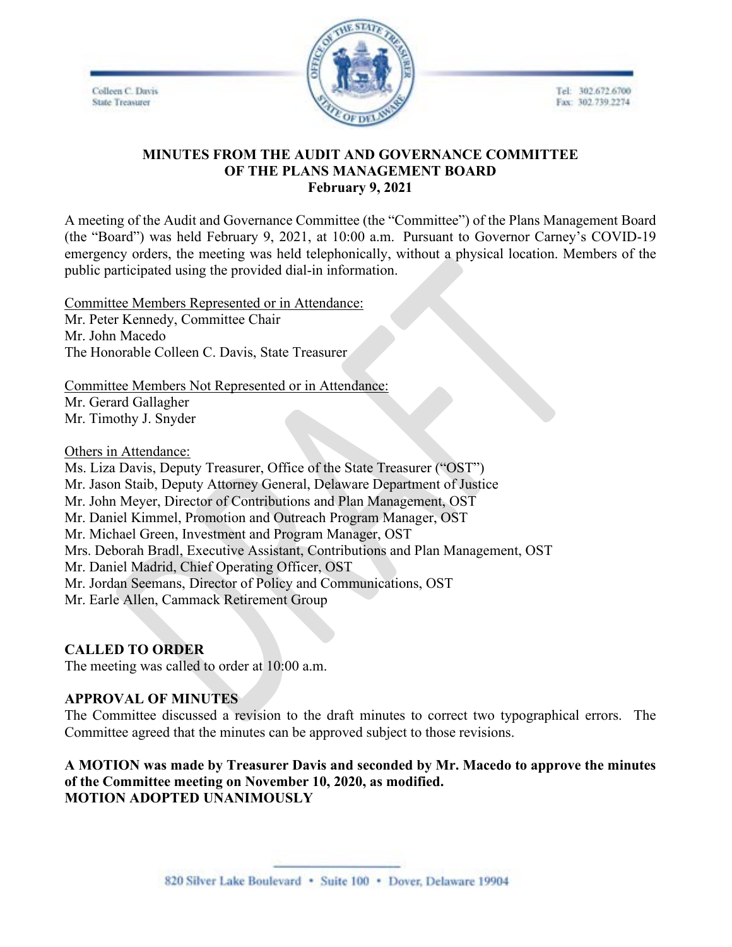Colleen C. Davis **State Treasurer** 



Tel: 302.672.6700 Fax: 302.739.2274

# **MINUTES FROM THE AUDIT AND GOVERNANCE COMMITTEE OF THE PLANS MANAGEMENT BOARD February 9, 2021**

A meeting of the Audit and Governance Committee (the "Committee") of the Plans Management Board (the "Board") was held February 9, 2021, at 10:00 a.m. Pursuant to Governor Carney's COVID-19 emergency orders, the meeting was held telephonically, without a physical location. Members of the public participated using the provided dial-in information.

Committee Members Represented or in Attendance: Mr. Peter Kennedy, Committee Chair Mr. John Macedo The Honorable Colleen C. Davis, State Treasurer

Committee Members Not Represented or in Attendance:

Mr. Gerard Gallagher Mr. Timothy J. Snyder

Others in Attendance:

Ms. Liza Davis, Deputy Treasurer, Office of the State Treasurer ("OST") Mr. Jason Staib, Deputy Attorney General, Delaware Department of Justice Mr. John Meyer, Director of Contributions and Plan Management, OST Mr. Daniel Kimmel, Promotion and Outreach Program Manager, OST Mr. Michael Green, Investment and Program Manager, OST Mrs. Deborah Bradl, Executive Assistant, Contributions and Plan Management, OST Mr. Daniel Madrid, Chief Operating Officer, OST Mr. Jordan Seemans, Director of Policy and Communications, OST Mr. Earle Allen, Cammack Retirement Group

# **CALLED TO ORDER**

The meeting was called to order at 10:00 a.m.

# **APPROVAL OF MINUTES**

The Committee discussed a revision to the draft minutes to correct two typographical errors. The Committee agreed that the minutes can be approved subject to those revisions.

**A MOTION was made by Treasurer Davis and seconded by Mr. Macedo to approve the minutes of the Committee meeting on November 10, 2020, as modified. MOTION ADOPTED UNANIMOUSLY**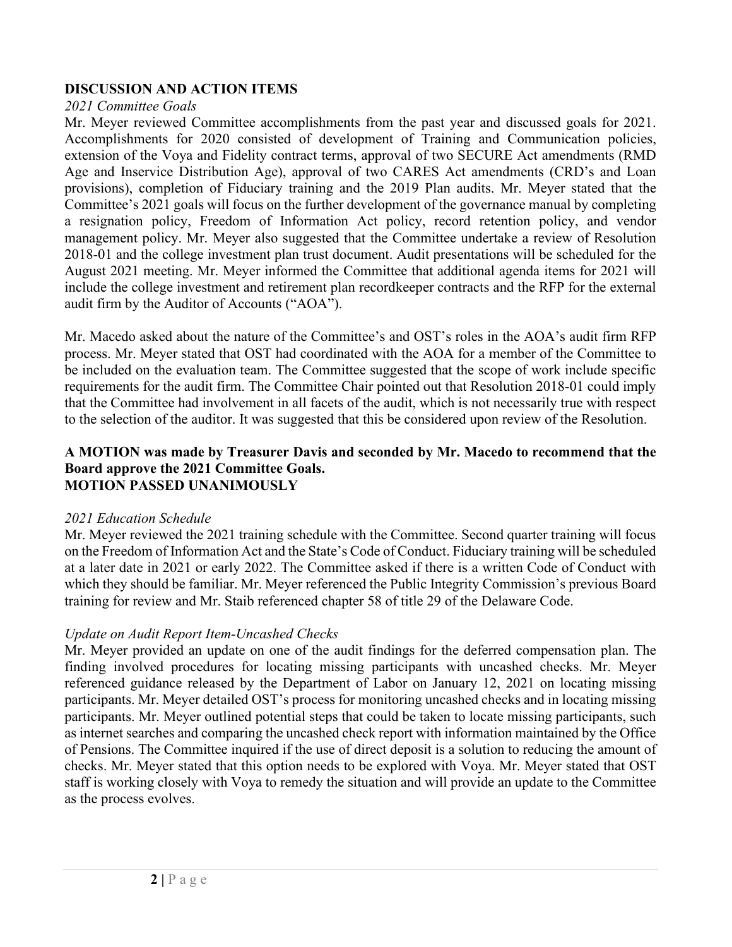# **DISCUSSION AND ACTION ITEMS**

#### *2021 Committee Goals*

Mr. Meyer reviewed Committee accomplishments from the past year and discussed goals for 2021. Accomplishments for 2020 consisted of development of Training and Communication policies, extension of the Voya and Fidelity contract terms, approval of two SECURE Act amendments (RMD Age and Inservice Distribution Age), approval of two CARES Act amendments (CRD's and Loan provisions), completion of Fiduciary training and the 2019 Plan audits. Mr. Meyer stated that the Committee's 2021 goals will focus on the further development of the governance manual by completing a resignation policy, Freedom of Information Act policy, record retention policy, and vendor management policy. Mr. Meyer also suggested that the Committee undertake a review of Resolution 2018-01 and the college investment plan trust document. Audit presentations will be scheduled for the August 2021 meeting. Mr. Meyer informed the Committee that additional agenda items for 2021 will include the college investment and retirement plan recordkeeper contracts and the RFP for the external audit firm by the Auditor of Accounts ("AOA").

Mr. Macedo asked about the nature of the Committee's and OST's roles in the AOA's audit firm RFP process. Mr. Meyer stated that OST had coordinated with the AOA for a member of the Committee to be included on the evaluation team. The Committee suggested that the scope of work include specific requirements for the audit firm. The Committee Chair pointed out that Resolution 2018-01 could imply that the Committee had involvement in all facets of the audit, which is not necessarily true with respect to the selection of the auditor. It was suggested that this be considered upon review of the Resolution.

#### **A MOTION was made by Treasurer Davis and seconded by Mr. Macedo to recommend that the Board approve the 2021 Committee Goals. MOTION PASSED UNANIMOUSLY**

# *2021 Education Schedule*

Mr. Meyer reviewed the 2021 training schedule with the Committee. Second quarter training will focus on the Freedom of Information Act and the State's Code of Conduct. Fiduciary training will be scheduled at a later date in 2021 or early 2022. The Committee asked if there is a written Code of Conduct with which they should be familiar. Mr. Meyer referenced the Public Integrity Commission's previous Board training for review and Mr. Staib referenced chapter 58 of title 29 of the Delaware Code.

# *Update on Audit Report Item-Uncashed Checks*

Mr. Meyer provided an update on one of the audit findings for the deferred compensation plan. The finding involved procedures for locating missing participants with uncashed checks. Mr. Meyer referenced guidance released by the Department of Labor on January 12, 2021 on locating missing participants. Mr. Meyer detailed OST's process for monitoring uncashed checks and in locating missing participants. Mr. Meyer outlined potential steps that could be taken to locate missing participants, such as internet searches and comparing the uncashed check report with information maintained by the Office of Pensions. The Committee inquired if the use of direct deposit is a solution to reducing the amount of checks. Mr. Meyer stated that this option needs to be explored with Voya. Mr. Meyer stated that OST staff is working closely with Voya to remedy the situation and will provide an update to the Committee as the process evolves.